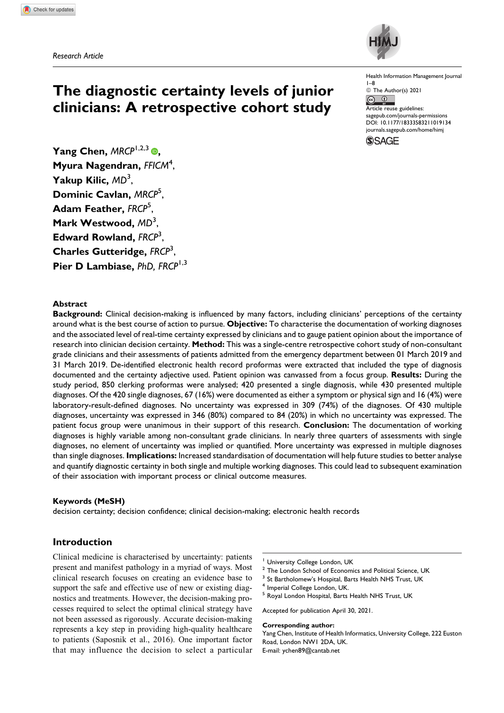*Research Article*



Health Information Management Journal 1–8

© The Author(s) 2021  $\boxed{6}$   $\boxed{0}$ 

Article reuse guidelines: [sagepub.com/journals-permissions](https://sagepub.com/journals-permissions) [DOI: 10.1177/18333583211019134](https://doi.org/10.1177/18333583211019134) [journals.sagepub.com/home/himj](http://journals.sagepub.com/home/him)



Yang Chen[,](https://orcid.org/0000-0001-6032-3387) *MRCP*<sup>1,2,3</sup> **. Myura Nagendran,** *FFICM*<sup>4</sup> , **Yakup Kilic,** *MD*<sup>3</sup> , **Dominic Cavlan,** *MRCP*<sup>5</sup> , **Adam Feather,** *FRCP*<sup>5</sup> , **Mark Westwood,** *MD*<sup>3</sup> , **Edward Rowland,** *FRCP*<sup>3</sup> , **Charles Gutteridge,** *FRCP*<sup>3</sup> , **Pier D Lambiase,** *PhD, FRCP*1,3

**The diagnostic certainty levels of junior clinicians: A retrospective cohort study**

### **Abstract**

**Background:** Clinical decision-making is influenced by many factors, including clinicians' perceptions of the certainty around what is the best course of action to pursue. **Objective:** To characterise the documentation of working diagnoses and the associated level of real-time certainty expressed by clinicians and to gauge patient opinion about the importance of research into clinician decision certainty. **Method:** This was a single-centre retrospective cohort study of non-consultant grade clinicians and their assessments of patients admitted from the emergency department between 01 March 2019 and 31 March 2019. De-identified electronic health record proformas were extracted that included the type of diagnosis documented and the certainty adjective used. Patient opinion was canvassed from a focus group. **Results:** During the study period, 850 clerking proformas were analysed; 420 presented a single diagnosis, while 430 presented multiple diagnoses. Of the 420 single diagnoses, 67 (16%) were documented as either a symptom or physical sign and 16 (4%) were laboratory-result-defined diagnoses. No uncertainty was expressed in 309 (74%) of the diagnoses. Of 430 multiple diagnoses, uncertainty was expressed in 346 (80%) compared to 84 (20%) in which no uncertainty was expressed. The patient focus group were unanimous in their support of this research. **Conclusion:** The documentation of working diagnoses is highly variable among non-consultant grade clinicians. In nearly three quarters of assessments with single diagnoses, no element of uncertainty was implied or quantified. More uncertainty was expressed in multiple diagnoses than single diagnoses. **Implications:** Increased standardisation of documentation will help future studies to better analyse and quantify diagnostic certainty in both single and multiple working diagnoses. This could lead to subsequent examination of their association with important process or clinical outcome measures.

### **Keywords (MeSH)**

decision certainty; decision confidence; clinical decision-making; electronic health records

## **Introduction**

Clinical medicine is characterised by uncertainty: patients present and manifest pathology in a myriad of ways. Most clinical research focuses on creating an evidence base to support the safe and effective use of new or existing diagnostics and treatments. However, the decision-making processes required to select the optimal clinical strategy have not been assessed as rigorously. Accurate decision-making represents a key step in providing high-quality healthcare to patients (Saposnik et al., 2016). One important factor that may influence the decision to select a particular

- University College London, UK
- <sup>2</sup> The London School of Economics and Political Science, UK
- <sup>3</sup> St Bartholomew's Hospital, Barts Health NHS Trust, UK
- <sup>4</sup> Imperial College London, UK.
- <sup>5</sup> Royal London Hospital, Barts Health NHS Trust, UK

Accepted for publication April 30, 2021.

#### **Corresponding author:**

Yang Chen, Institute of Health Informatics, University College, 222 Euston Road, London NW1 2DA, UK. E-mail: [ychen89@cantab.net](mailto:ychen89@cantab.net)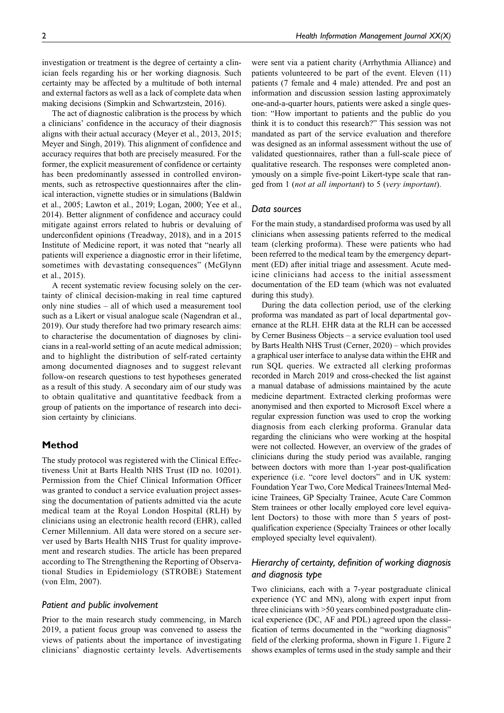investigation or treatment is the degree of certainty a clinician feels regarding his or her working diagnosis. Such certainty may be affected by a multitude of both internal and external factors as well as a lack of complete data when making decisions (Simpkin and Schwartzstein, 2016).

The act of diagnostic calibration is the process by which a clinicians' confidence in the accuracy of their diagnosis aligns with their actual accuracy (Meyer et al., 2013, 2015; Meyer and Singh, 2019). This alignment of confidence and accuracy requires that both are precisely measured. For the former, the explicit measurement of confidence or certainty has been predominantly assessed in controlled environments, such as retrospective questionnaires after the clinical interaction, vignette studies or in simulations (Baldwin et al., 2005; Lawton et al., 2019; Logan, 2000; Yee et al., 2014). Better alignment of confidence and accuracy could mitigate against errors related to hubris or devaluing of underconfident opinions (Treadway, 2018), and in a 2015 Institute of Medicine report, it was noted that "nearly all patients will experience a diagnostic error in their lifetime, sometimes with devastating consequences" (McGlynn et al., 2015).

A recent systematic review focusing solely on the certainty of clinical decision-making in real time captured only nine studies – all of which used a measurement tool such as a Likert or visual analogue scale (Nagendran et al., 2019). Our study therefore had two primary research aims: to characterise the documentation of diagnoses by clinicians in a real-world setting of an acute medical admission; and to highlight the distribution of self-rated certainty among documented diagnoses and to suggest relevant follow-on research questions to test hypotheses generated as a result of this study. A secondary aim of our study was to obtain qualitative and quantitative feedback from a group of patients on the importance of research into decision certainty by clinicians.

## **Method**

The study protocol was registered with the Clinical Effectiveness Unit at Barts Health NHS Trust (ID no. 10201). Permission from the Chief Clinical Information Officer was granted to conduct a service evaluation project assessing the documentation of patients admitted via the acute medical team at the Royal London Hospital (RLH) by clinicians using an electronic health record (EHR), called Cerner Millennium. All data were stored on a secure server used by Barts Health NHS Trust for quality improvement and research studies. The article has been prepared according to The Strengthening the Reporting of Observational Studies in Epidemiology (STROBE) Statement (von Elm, 2007).

## *Patient and public involvement*

Prior to the main research study commencing, in March 2019, a patient focus group was convened to assess the views of patients about the importance of investigating clinicians' diagnostic certainty levels. Advertisements were sent via a patient charity (Arrhythmia Alliance) and patients volunteered to be part of the event. Eleven (11) patients (7 female and 4 male) attended. Pre and post an information and discussion session lasting approximately one-and-a-quarter hours, patients were asked a single question: "How important to patients and the public do you think it is to conduct this research?" This session was not mandated as part of the service evaluation and therefore was designed as an informal assessment without the use of validated questionnaires, rather than a full-scale piece of qualitative research. The responses were completed anonymously on a simple five-point Likert-type scale that ranged from 1 (not at all important) to 5 (very important).

## *Data sources*

For the main study, a standardised proforma was used by all clinicians when assessing patients referred to the medical team (clerking proforma). These were patients who had been referred to the medical team by the emergency department (ED) after initial triage and assessment. Acute medicine clinicians had access to the initial assessment documentation of the ED team (which was not evaluated during this study).

During the data collection period, use of the clerking proforma was mandated as part of local departmental governance at the RLH. EHR data at the RLH can be accessed by Cerner Business Objects – a service evaluation tool used by Barts Health NHS Trust (Cerner, 2020) – which provides a graphical user interface to analyse data within the EHR and run SQL queries. We extracted all clerking proformas recorded in March 2019 and cross-checked the list against a manual database of admissions maintained by the acute medicine department. Extracted clerking proformas were anonymised and then exported to Microsoft Excel where a regular expression function was used to crop the working diagnosis from each clerking proforma. Granular data regarding the clinicians who were working at the hospital were not collected. However, an overview of the grades of clinicians during the study period was available, ranging between doctors with more than 1-year post-qualification experience (i.e. "core level doctors" and in UK system: Foundation Year Two, Core Medical Trainees/Internal Medicine Trainees, GP Specialty Trainee, Acute Care Common Stem trainees or other locally employed core level equivalent Doctors) to those with more than 5 years of postqualification experience (Specialty Trainees or other locally employed specialty level equivalent).

# *Hierarchy of certainty, definition of working diagnosis and diagnosis type*

Two clinicians, each with a 7-year postgraduate clinical experience (YC and MN), along with expert input from three clinicians with >50 years combined postgraduate clinical experience (DC, AF and PDL) agreed upon the classification of terms documented in the "working diagnosis" field of the clerking proforma, shown in Figure 1. Figure 2 shows examples of terms used in the study sample and their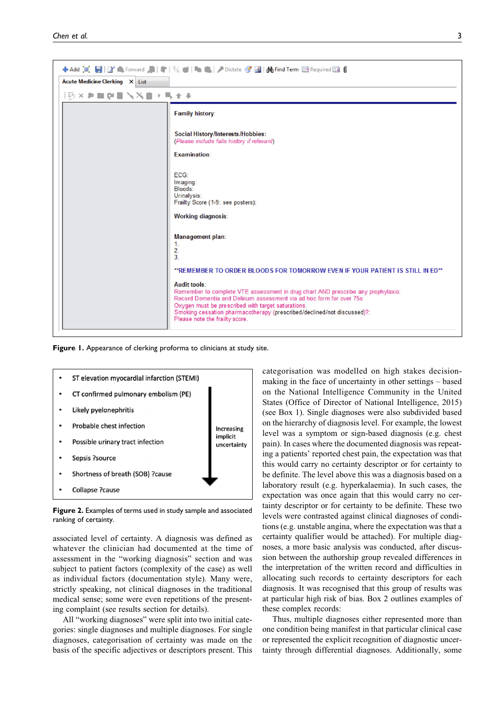

**Figure 1.** Appearance of clerking proforma to clinicians at study site.



**Figure 2.** Examples of terms used in study sample and associated ranking of certainty.

associated level of certainty. A diagnosis was defined as whatever the clinician had documented at the time of assessment in the "working diagnosis" section and was subject to patient factors (complexity of the case) as well as individual factors (documentation style). Many were, strictly speaking, not clinical diagnoses in the traditional medical sense; some were even repetitions of the presenting complaint (see results section for details).

All "working diagnoses" were split into two initial categories: single diagnoses and multiple diagnoses. For single diagnoses, categorisation of certainty was made on the basis of the specific adjectives or descriptors present. This categorisation was modelled on high stakes decisionmaking in the face of uncertainty in other settings – based on the National Intelligence Community in the United States (Office of Director of National Intelligence, 2015) (see Box 1). Single diagnoses were also subdivided based on the hierarchy of diagnosis level. For example, the lowest level was a symptom or sign-based diagnosis (e.g. chest pain). In cases where the documented diagnosis was repeating a patients' reported chest pain, the expectation was that this would carry no certainty descriptor or for certainty to be definite. The level above this was a diagnosis based on a laboratory result (e.g. hyperkalaemia). In such cases, the expectation was once again that this would carry no certainty descriptor or for certainty to be definite. These two levels were contrasted against clinical diagnoses of conditions (e.g. unstable angina, where the expectation was that a certainty qualifier would be attached). For multiple diagnoses, a more basic analysis was conducted, after discussion between the authorship group revealed differences in the interpretation of the written record and difficulties in allocating such records to certainty descriptors for each diagnosis. It was recognised that this group of results was at particular high risk of bias. Box 2 outlines examples of these complex records:

Thus, multiple diagnoses either represented more than one condition being manifest in that particular clinical case or represented the explicit recognition of diagnostic uncertainty through differential diagnoses. Additionally, some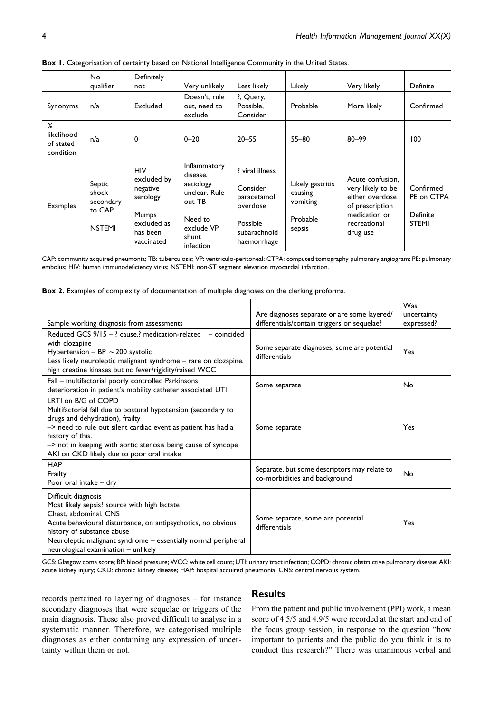|                                           | No<br>qualifier                                         | Definitely<br>not                                                                                   | Very unlikely                                                                                                   | Less likely                                                                                     | Likely                                                        | Very likely                                                                                                              | Definite                                            |
|-------------------------------------------|---------------------------------------------------------|-----------------------------------------------------------------------------------------------------|-----------------------------------------------------------------------------------------------------------------|-------------------------------------------------------------------------------------------------|---------------------------------------------------------------|--------------------------------------------------------------------------------------------------------------------------|-----------------------------------------------------|
| Synonyms                                  | n/a                                                     | Excluded                                                                                            | Doesn't, rule<br>out, need to<br>exclude                                                                        | ?, Query,<br>Possible,<br>Consider                                                              | Probable                                                      | More likely                                                                                                              | Confirmed                                           |
| %<br>likelihood<br>of stated<br>condition | n/a                                                     | 0                                                                                                   | $0 - 20$                                                                                                        | $20 - 55$                                                                                       | $55 - 80$                                                     | $80 - 99$                                                                                                                | 100                                                 |
| Examples                                  | Septic<br>shock<br>secondary<br>to CAP<br><b>NSTEMI</b> | <b>HIV</b><br>excluded by<br>negative<br>serology<br>Mumps<br>excluded as<br>has been<br>vaccinated | Inflammatory<br>disease,<br>aetiology<br>unclear. Rule<br>out TB<br>Need to<br>exclude VP<br>shunt<br>infection | wiral illness<br>Consider<br>paracetamol<br>overdose<br>Possible<br>subarachnoid<br>haemorrhage | Likely gastritis<br>causing<br>vomiting<br>Probable<br>sepsis | Acute confusion,<br>very likely to be<br>either overdose<br>of prescription<br>medication or<br>recreational<br>drug use | Confirmed<br>PE on CTPA<br>Definite<br><b>STEMI</b> |

**Box 1.** Categorisation of certainty based on National Intelligence Community in the United States.

CAP: community acquired pneumonia; TB: tuberculosis; VP: ventriculo-peritoneal; CTPA: computed tomography pulmonary angiogram; PE: pulmonary embolus; HIV: human immunodeficiency virus; NSTEMI: non-ST segment elevation myocardial infarction.

|  |  |  | Box 2. Examples of complexity of documentation of multiple diagnoses on the clerking proforma. |  |  |  |  |  |
|--|--|--|------------------------------------------------------------------------------------------------|--|--|--|--|--|
|--|--|--|------------------------------------------------------------------------------------------------|--|--|--|--|--|

| Sample working diagnosis from assessments                                                                                                                                                                                                                                                                                  | Are diagnoses separate or are some layered/<br>differentials/contain triggers or sequelae? | Was<br>uncertainty<br>expressed? |
|----------------------------------------------------------------------------------------------------------------------------------------------------------------------------------------------------------------------------------------------------------------------------------------------------------------------------|--------------------------------------------------------------------------------------------|----------------------------------|
| Reduced GCS 9/15 - ? cause,? medication-related - coincided<br>with clozapine<br>Hypertension - BP $\sim$ 200 systolic<br>Less likely neuroleptic malignant syndrome - rare on clozapine,<br>high creatine kinases but no fever/rigidity/raised WCC                                                                        | Some separate diagnoses, some are potential<br>differentials                               | Yes                              |
| Fall - multifactorial poorly controlled Parkinsons<br>deterioration in patient's mobility catheter associated UTI                                                                                                                                                                                                          | Some separate                                                                              | No                               |
| LRTI on B/G of COPD<br>Multifactorial fall due to postural hypotension (secondary to<br>drugs and dehydration), frailty<br>-> need to rule out silent cardiac event as patient has had a<br>history of this.<br>-> not in keeping with aortic stenosis being cause of syncope<br>AKI on CKD likely due to poor oral intake | Some separate                                                                              | Yes                              |
| <b>HAP</b><br>Frailty<br>Poor oral intake - dry                                                                                                                                                                                                                                                                            | Separate, but some descriptors may relate to<br>co-morbidities and background              | No                               |
| Difficult diagnosis<br>Most likely sepsis? source with high lactate<br>Chest, abdominal, CNS<br>Acute behavioural disturbance, on antipsychotics, no obvious<br>history of substance abuse<br>Neuroleptic malignant syndrome - essentially normal peripheral<br>neurological examination - unlikely                        | Some separate, some are potential<br>differentials                                         | Yes                              |

GCS: Glasgow coma score; BP: blood pressure; WCC: white cell count; UTI: urinary tract infection; COPD: chronic obstructive pulmonary disease; AKI: acute kidney injury; CKD: chronic kidney disease; HAP: hospital acquired pneumonia; CNS: central nervous system.

records pertained to layering of diagnoses – for instance secondary diagnoses that were sequelae or triggers of the main diagnosis. These also proved difficult to analyse in a systematic manner. Therefore, we categorised multiple diagnoses as either containing any expression of uncertainty within them or not.

## **Results**

From the patient and public involvement (PPI) work, a mean score of 4.5/5 and 4.9/5 were recorded at the start and end of the focus group session, in response to the question "how important to patients and the public do you think it is to conduct this research?" There was unanimous verbal and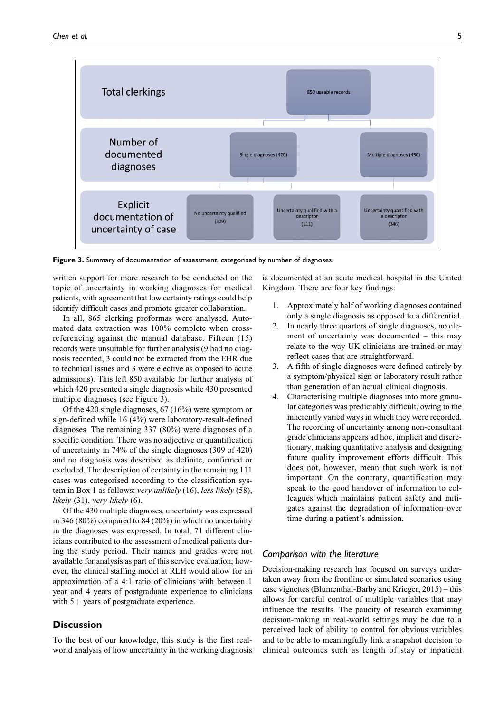

**Figure 3.** Summary of documentation of assessment, categorised by number of diagnoses.

written support for more research to be conducted on the topic of uncertainty in working diagnoses for medical patients, with agreement that low certainty ratings could help identify difficult cases and promote greater collaboration.

In all, 865 clerking proformas were analysed. Automated data extraction was 100% complete when crossreferencing against the manual database. Fifteen (15) records were unsuitable for further analysis (9 had no diagnosis recorded, 3 could not be extracted from the EHR due to technical issues and 3 were elective as opposed to acute admissions). This left 850 available for further analysis of which 420 presented a single diagnosis while 430 presented multiple diagnoses (see Figure 3).

Of the 420 single diagnoses, 67 (16%) were symptom or sign-defined while 16 (4%) were laboratory-result-defined diagnoses. The remaining 337 (80%) were diagnoses of a specific condition. There was no adjective or quantification of uncertainty in 74% of the single diagnoses (309 of 420) and no diagnosis was described as definite, confirmed or excluded. The description of certainty in the remaining 111 cases was categorised according to the classification system in Box 1 as follows: very unlikely (16), less likely (58), likely (31), very likely (6).

Of the 430 multiple diagnoses, uncertainty was expressed in 346 (80%) compared to 84 (20%) in which no uncertainty in the diagnoses was expressed. In total, 71 different clinicians contributed to the assessment of medical patients during the study period. Their names and grades were not available for analysis as part of this service evaluation; however, the clinical staffing model at RLH would allow for an approximation of a 4:1 ratio of clinicians with between 1 year and 4 years of postgraduate experience to clinicians with  $5+$  years of postgraduate experience.

## **Discussion**

To the best of our knowledge, this study is the first realworld analysis of how uncertainty in the working diagnosis is documented at an acute medical hospital in the United Kingdom. There are four key findings:

- 1. Approximately half of working diagnoses contained only a single diagnosis as opposed to a differential.
- 2. In nearly three quarters of single diagnoses, no element of uncertainty was documented – this may relate to the way UK clinicians are trained or may reflect cases that are straightforward.
- 3. A fifth of single diagnoses were defined entirely by a symptom/physical sign or laboratory result rather than generation of an actual clinical diagnosis.
- 4. Characterising multiple diagnoses into more granular categories was predictably difficult, owing to the inherently varied ways in which they were recorded. The recording of uncertainty among non-consultant grade clinicians appears ad hoc, implicit and discretionary, making quantitative analysis and designing future quality improvement efforts difficult. This does not, however, mean that such work is not important. On the contrary, quantification may speak to the good handover of information to colleagues which maintains patient safety and mitigates against the degradation of information over time during a patient's admission.

## *Comparison with the literature*

Decision-making research has focused on surveys undertaken away from the frontline or simulated scenarios using case vignettes (Blumenthal-Barby and Krieger, 2015) – this allows for careful control of multiple variables that may influence the results. The paucity of research examining decision-making in real-world settings may be due to a perceived lack of ability to control for obvious variables and to be able to meaningfully link a snapshot decision to clinical outcomes such as length of stay or inpatient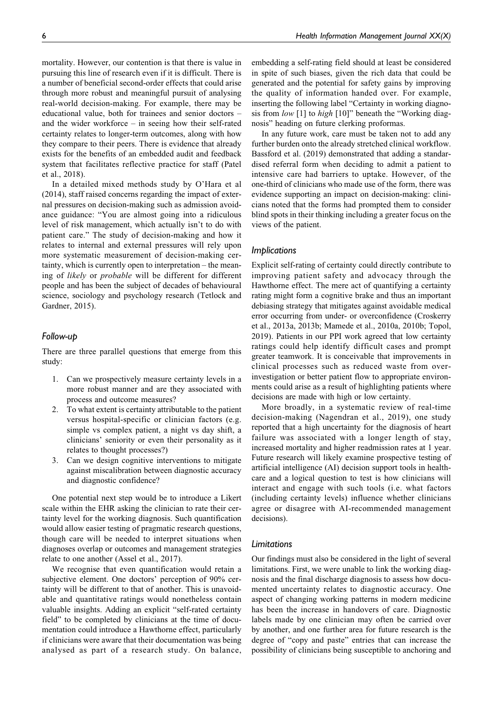mortality. However, our contention is that there is value in pursuing this line of research even if it is difficult. There is a number of beneficial second-order effects that could arise through more robust and meaningful pursuit of analysing real-world decision-making. For example, there may be educational value, both for trainees and senior doctors – and the wider workforce – in seeing how their self-rated certainty relates to longer-term outcomes, along with how they compare to their peers. There is evidence that already exists for the benefits of an embedded audit and feedback system that facilitates reflective practice for staff (Patel et al., 2018).

In a detailed mixed methods study by O'Hara et al (2014), staff raised concerns regarding the impact of external pressures on decision-making such as admission avoidance guidance: "You are almost going into a ridiculous level of risk management, which actually isn't to do with patient care." The study of decision-making and how it relates to internal and external pressures will rely upon more systematic measurement of decision-making certainty, which is currently open to interpretation – the meaning of likely or probable will be different for different people and has been the subject of decades of behavioural science, sociology and psychology research (Tetlock and Gardner, 2015).

### *Follow-up*

There are three parallel questions that emerge from this study:

- 1. Can we prospectively measure certainty levels in a more robust manner and are they associated with process and outcome measures?
- 2. To what extent is certainty attributable to the patient versus hospital-specific or clinician factors (e.g. simple vs complex patient, a night vs day shift, a clinicians' seniority or even their personality as it relates to thought processes?)
- 3. Can we design cognitive interventions to mitigate against miscalibration between diagnostic accuracy and diagnostic confidence?

One potential next step would be to introduce a Likert scale within the EHR asking the clinician to rate their certainty level for the working diagnosis. Such quantification would allow easier testing of pragmatic research questions, though care will be needed to interpret situations when diagnoses overlap or outcomes and management strategies relate to one another (Assel et al., 2017).

We recognise that even quantification would retain a subjective element. One doctors' perception of 90% certainty will be different to that of another. This is unavoidable and quantitative ratings would nonetheless contain valuable insights. Adding an explicit "self-rated certainty field" to be completed by clinicians at the time of documentation could introduce a Hawthorne effect, particularly if clinicians were aware that their documentation was being analysed as part of a research study. On balance, embedding a self-rating field should at least be considered in spite of such biases, given the rich data that could be generated and the potential for safety gains by improving the quality of information handed over. For example, inserting the following label "Certainty in working diagnosis from low [1] to high [10]" beneath the "Working diagnosis" heading on future clerking proformas.

In any future work, care must be taken not to add any further burden onto the already stretched clinical workflow. Bassford et al. (2019) demonstrated that adding a standardised referral form when deciding to admit a patient to intensive care had barriers to uptake. However, of the one-third of clinicians who made use of the form, there was evidence supporting an impact on decision-making: clinicians noted that the forms had prompted them to consider blind spots in their thinking including a greater focus on the views of the patient.

#### *Implications*

Explicit self-rating of certainty could directly contribute to improving patient safety and advocacy through the Hawthorne effect. The mere act of quantifying a certainty rating might form a cognitive brake and thus an important debiasing strategy that mitigates against avoidable medical error occurring from under- or overconfidence (Croskerry et al., 2013a, 2013b; Mamede et al., 2010a, 2010b; Topol, 2019). Patients in our PPI work agreed that low certainty ratings could help identify difficult cases and prompt greater teamwork. It is conceivable that improvements in clinical processes such as reduced waste from overinvestigation or better patient flow to appropriate environments could arise as a result of highlighting patients where decisions are made with high or low certainty.

More broadly, in a systematic review of real-time decision-making (Nagendran et al., 2019), one study reported that a high uncertainty for the diagnosis of heart failure was associated with a longer length of stay, increased mortality and higher readmission rates at 1 year. Future research will likely examine prospective testing of artificial intelligence (AI) decision support tools in healthcare and a logical question to test is how clinicians will interact and engage with such tools (i.e. what factors (including certainty levels) influence whether clinicians agree or disagree with AI-recommended management decisions).

## *Limitations*

Our findings must also be considered in the light of several limitations. First, we were unable to link the working diagnosis and the final discharge diagnosis to assess how documented uncertainty relates to diagnostic accuracy. One aspect of changing working patterns in modern medicine has been the increase in handovers of care. Diagnostic labels made by one clinician may often be carried over by another, and one further area for future research is the degree of "copy and paste" entries that can increase the possibility of clinicians being susceptible to anchoring and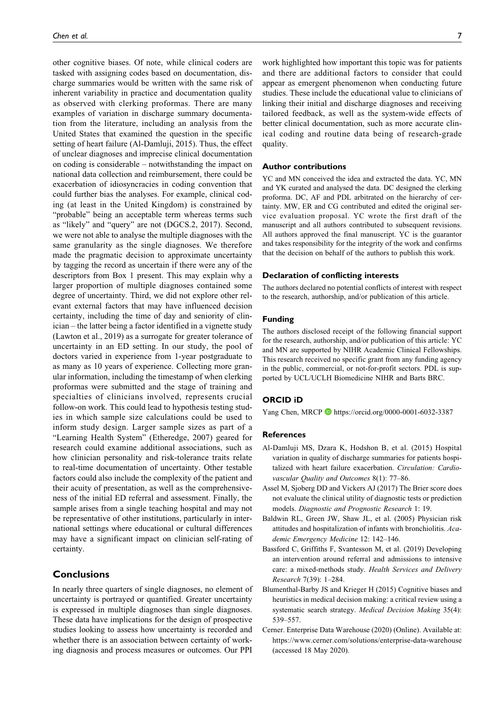other cognitive biases. Of note, while clinical coders are tasked with assigning codes based on documentation, discharge summaries would be written with the same risk of inherent variability in practice and documentation quality as observed with clerking proformas. There are many examples of variation in discharge summary documentation from the literature, including an analysis from the United States that examined the question in the specific setting of heart failure (Al-Damluji, 2015). Thus, the effect of unclear diagnoses and imprecise clinical documentation on coding is considerable – notwithstanding the impact on national data collection and reimbursement, there could be exacerbation of idiosyncracies in coding convention that could further bias the analyses. For example, clinical coding (at least in the United Kingdom) is constrained by "probable" being an acceptable term whereas terms such as "likely" and "query" are not (DGCS.2, 2017). Second, we were not able to analyse the multiple diagnoses with the same granularity as the single diagnoses. We therefore made the pragmatic decision to approximate uncertainty by tagging the record as uncertain if there were any of the descriptors from Box 1 present. This may explain why a larger proportion of multiple diagnoses contained some degree of uncertainty. Third, we did not explore other relevant external factors that may have influenced decision certainty, including the time of day and seniority of clinician – the latter being a factor identified in a vignette study (Lawton et al., 2019) as a surrogate for greater tolerance of uncertainty in an ED setting. In our study, the pool of doctors varied in experience from 1-year postgraduate to as many as 10 years of experience. Collecting more granular information, including the timestamp of when clerking proformas were submitted and the stage of training and specialties of clinicians involved, represents crucial follow-on work. This could lead to hypothesis testing studies in which sample size calculations could be used to inform study design. Larger sample sizes as part of a "Learning Health System" (Etheredge, 2007) geared for research could examine additional associations, such as how clinician personality and risk-tolerance traits relate to real-time documentation of uncertainty. Other testable factors could also include the complexity of the patient and their acuity of presentation, as well as the comprehensiveness of the initial ED referral and assessment. Finally, the sample arises from a single teaching hospital and may not be representative of other institutions, particularly in international settings where educational or cultural differences may have a significant impact on clinician self-rating of certainty.

## **Conclusions**

In nearly three quarters of single diagnoses, no element of uncertainty is portrayed or quantified. Greater uncertainty is expressed in multiple diagnoses than single diagnoses. These data have implications for the design of prospective studies looking to assess how uncertainty is recorded and whether there is an association between certainty of working diagnosis and process measures or outcomes. Our PPI

work highlighted how important this topic was for patients and there are additional factors to consider that could appear as emergent phenomenon when conducting future studies. These include the educational value to clinicians of linking their initial and discharge diagnoses and receiving tailored feedback, as well as the system-wide effects of better clinical documentation, such as more accurate clinical coding and routine data being of research-grade quality.

## **Author contributions**

YC and MN conceived the idea and extracted the data. YC, MN and YK curated and analysed the data. DC designed the clerking proforma. DC, AF and PDL arbitrated on the hierarchy of certainty. MW, ER and CG contributed and edited the original service evaluation proposal. YC wrote the first draft of the manuscript and all authors contributed to subsequent revisions. All authors approved the final manuscript. YC is the guarantor and takes responsibility for the integrity of the work and confirms that the decision on behalf of the authors to publish this work.

### **Declaration of conflicting interests**

The authors declared no potential conflicts of interest with respect to the research, authorship, and/or publication of this article.

#### **Funding**

The authors disclosed receipt of the following financial support for the research, authorship, and/or publication of this article: YC and MN are supported by NIHR Academic Clinical Fellowships. This research received no specific grant from any funding agency in the public, commercial, or not-for-profit sectors. PDL is supported by UCL/UCLH Biomedicine NIHR and Barts BRC.

#### **ORCID iD**

Yang Chen, MRCP D <https://orcid.org/0000-0001-6032-3387>

#### **References**

- Al-Damluji MS, Dzara K, Hodshon B, et al. (2015) Hospital variation in quality of discharge summaries for patients hospitalized with heart failure exacerbation. Circulation: Cardiovascular Quality and Outcomes 8(1): 77–86.
- Assel M, Sjoberg DD and Vickers AJ (2017) The Brier score does not evaluate the clinical utility of diagnostic tests or prediction models. Diagnostic and Prognostic Research 1: 19.
- Baldwin RL, Green JW, Shaw JL, et al. (2005) Physician risk attitudes and hospitalization of infants with bronchiolitis. Academic Emergency Medicine 12: 142–146.
- Bassford C, Griffiths F, Svantesson M, et al. (2019) Developing an intervention around referral and admissions to intensive care: a mixed-methods study. Health Services and Delivery Research 7(39): 1–284.
- Blumenthal-Barby JS and Krieger H (2015) Cognitive biases and heuristics in medical decision making: a critical review using a systematic search strategy. Medical Decision Making 35(4): 539–557.
- Cerner. Enterprise Data Warehouse (2020) (Online). Available at: <https://www.cerner.com/solutions/enterprise-data-warehouse> (accessed 18 May 2020).